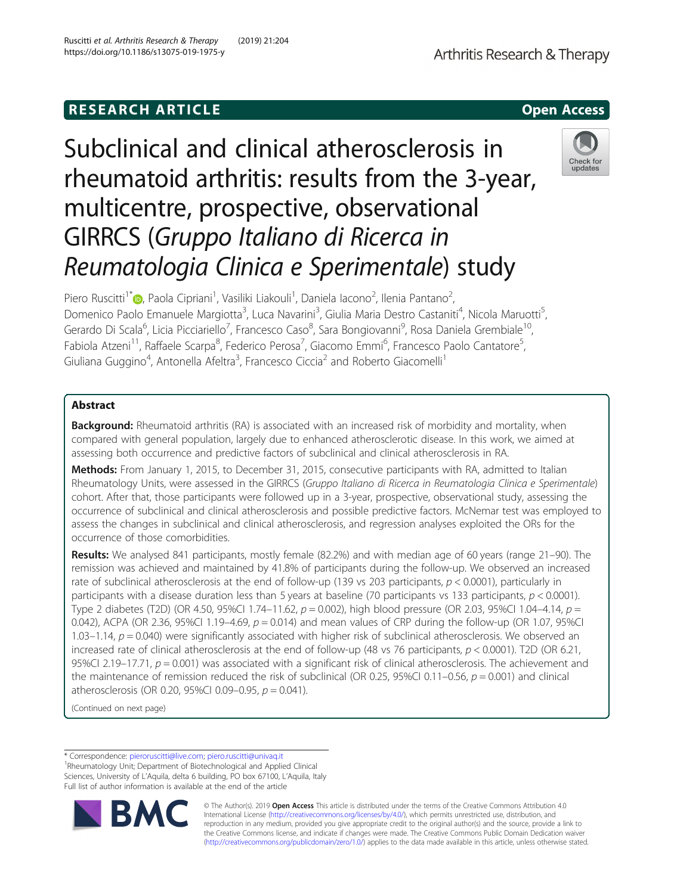# **RESEARCH ARTICLE Example 2014 CONSIDERING CONSIDERING CONSIDERING CONSIDERING CONSIDERING CONSIDERING CONSIDERING CONSIDERING CONSIDERING CONSIDERING CONSIDERING CONSIDERING CONSIDERING CONSIDERING CONSIDERING CONSIDE**

Subclinical and clinical atherosclerosis in rheumatoid arthritis: results from the 3-year, multicentre, prospective, observational GIRRCS (Gruppo Italiano di Ricerca in Reumatologia Clinica e Sperimentale) study

Piero Ruscitti<sup>1[\\*](http://orcid.org/0000-0003-3487-8551)</sup>®, Paola Cipriani<sup>1</sup>, Vasiliki Liakouli<sup>1</sup>, Daniela Iacono<sup>2</sup>, Ilenia Pantano<sup>2</sup> , Domenico Paolo Emanuele Margiotta<sup>3</sup>, Luca Navarini<sup>3</sup>, Giulia Maria Destro Castaniti<sup>4</sup>, Nicola Maruotti<sup>5</sup> , Gerardo Di Scala<sup>6</sup>, Licia Picciariello<sup>7</sup>, Francesco Caso<sup>8</sup>, Sara Bongiovanni<sup>9</sup>, Rosa Daniela Grembiale<sup>10</sup>, Fabiola Atzeni<sup>11</sup>, Raffaele Scarpa<sup>8</sup>, Federico Perosa<sup>7</sup>, Giacomo Emmi<sup>6</sup>, Francesco Paolo Cantatore<sup>5</sup> , Giuliana Guggino<sup>4</sup>, Antonella Afeltra<sup>3</sup>, Francesco Ciccia<sup>2</sup> and Roberto Giacomelli<sup>1</sup>

# Abstract

**Background:** Rheumatoid arthritis (RA) is associated with an increased risk of morbidity and mortality, when compared with general population, largely due to enhanced atherosclerotic disease. In this work, we aimed at assessing both occurrence and predictive factors of subclinical and clinical atherosclerosis in RA.

Methods: From January 1, 2015, to December 31, 2015, consecutive participants with RA, admitted to Italian Rheumatology Units, were assessed in the GIRRCS (Gruppo Italiano di Ricerca in Reumatologia Clinica e Sperimentale) cohort. After that, those participants were followed up in a 3-year, prospective, observational study, assessing the occurrence of subclinical and clinical atherosclerosis and possible predictive factors. McNemar test was employed to assess the changes in subclinical and clinical atherosclerosis, and regression analyses exploited the ORs for the occurrence of those comorbidities.

Results: We analysed 841 participants, mostly female (82.2%) and with median age of 60 years (range 21–90). The remission was achieved and maintained by 41.8% of participants during the follow-up. We observed an increased rate of subclinical atherosclerosis at the end of follow-up (139 vs 203 participants,  $p < 0.0001$ ), particularly in participants with a disease duration less than 5 years at baseline (70 participants vs 133 participants,  $p < 0.0001$ ). Type 2 diabetes (T2D) (OR 4.50, 95%CI 1.74–11.62,  $p = 0.002$ ), high blood pressure (OR 2.03, 95%CI 1.04–4.14,  $p =$ 0.042), ACPA (OR 2.36, 95%CI 1.19–4.69,  $p = 0.014$ ) and mean values of CRP during the follow-up (OR 1.07, 95%CI 1.03–1.14,  $p = 0.040$ ) were significantly associated with higher risk of subclinical atherosclerosis. We observed an increased rate of clinical atherosclerosis at the end of follow-up (48 vs 76 participants,  $p < 0.0001$ ). T2D (OR 6.21, 95%CI 2.19–17.71,  $p = 0.001$ ) was associated with a significant risk of clinical atherosclerosis. The achievement and the maintenance of remission reduced the risk of subclinical (OR 0.25, 95%Cl 0.11–0.56,  $p = 0.001$ ) and clinical atherosclerosis (OR 0.20, 95%CI 0.09-0.95,  $p = 0.041$ ).

(Continued on next page)

\* Correspondence: [pieroruscitti@live.com;](mailto:pieroruscitti@live.com) [piero.ruscitti@univaq.it](mailto:piero.ruscitti@univaq.it) <sup>1</sup> <sup>1</sup>Rheumatology Unit; Department of Biotechnological and Applied Clinical Sciences, University of L'Aquila, delta 6 building, PO box 67100, L'Aquila, Italy Full list of author information is available at the end of the article



© The Author(s). 2019 **Open Access** This article is distributed under the terms of the Creative Commons Attribution 4.0 International License [\(http://creativecommons.org/licenses/by/4.0/](http://creativecommons.org/licenses/by/4.0/)), which permits unrestricted use, distribution, and reproduction in any medium, provided you give appropriate credit to the original author(s) and the source, provide a link to the Creative Commons license, and indicate if changes were made. The Creative Commons Public Domain Dedication waiver [\(http://creativecommons.org/publicdomain/zero/1.0/](http://creativecommons.org/publicdomain/zero/1.0/)) applies to the data made available in this article, unless otherwise stated.



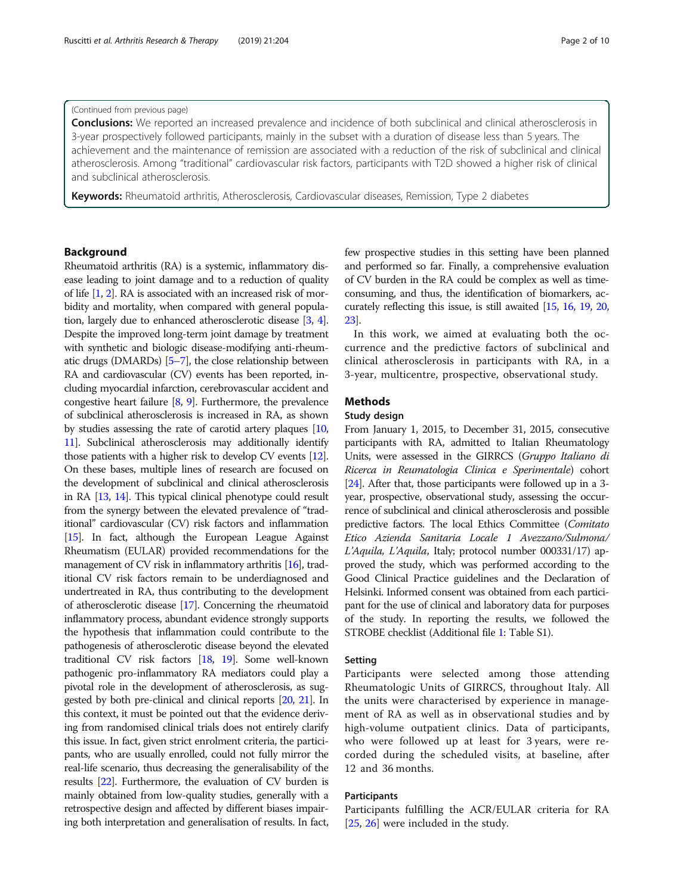# (Continued from previous page)

**Conclusions:** We reported an increased prevalence and incidence of both subclinical and clinical atherosclerosis in 3-year prospectively followed participants, mainly in the subset with a duration of disease less than 5 years. The achievement and the maintenance of remission are associated with a reduction of the risk of subclinical and clinical atherosclerosis. Among "traditional" cardiovascular risk factors, participants with T2D showed a higher risk of clinical and subclinical atherosclerosis.

Keywords: Rheumatoid arthritis, Atherosclerosis, Cardiovascular diseases, Remission, Type 2 diabetes

# **Background**

Rheumatoid arthritis (RA) is a systemic, inflammatory disease leading to joint damage and to a reduction of quality of life [\[1](#page-8-0), [2](#page-8-0)]. RA is associated with an increased risk of morbidity and mortality, when compared with general population, largely due to enhanced atherosclerotic disease [[3](#page-8-0), [4](#page-8-0)]. Despite the improved long-term joint damage by treatment with synthetic and biologic disease-modifying anti-rheumatic drugs (DMARDs) [[5](#page-8-0)–[7](#page-8-0)], the close relationship between RA and cardiovascular (CV) events has been reported, including myocardial infarction, cerebrovascular accident and congestive heart failure [[8,](#page-8-0) [9\]](#page-8-0). Furthermore, the prevalence of subclinical atherosclerosis is increased in RA, as shown by studies assessing the rate of carotid artery plaques [\[10](#page-8-0), [11](#page-8-0)]. Subclinical atherosclerosis may additionally identify those patients with a higher risk to develop CV events [\[12](#page-8-0)]. On these bases, multiple lines of research are focused on the development of subclinical and clinical atherosclerosis in RA [[13](#page-8-0), [14\]](#page-8-0). This typical clinical phenotype could result from the synergy between the elevated prevalence of "traditional" cardiovascular (CV) risk factors and inflammation [[15](#page-8-0)]. In fact, although the European League Against Rheumatism (EULAR) provided recommendations for the management of CV risk in inflammatory arthritis [\[16\]](#page-8-0), traditional CV risk factors remain to be underdiagnosed and undertreated in RA, thus contributing to the development of atherosclerotic disease [\[17](#page-8-0)]. Concerning the rheumatoid inflammatory process, abundant evidence strongly supports the hypothesis that inflammation could contribute to the pathogenesis of atherosclerotic disease beyond the elevated traditional CV risk factors [\[18,](#page-8-0) [19](#page-8-0)]. Some well-known pathogenic pro-inflammatory RA mediators could play a pivotal role in the development of atherosclerosis, as suggested by both pre-clinical and clinical reports [\[20,](#page-8-0) [21\]](#page-8-0). In this context, it must be pointed out that the evidence deriving from randomised clinical trials does not entirely clarify this issue. In fact, given strict enrolment criteria, the participants, who are usually enrolled, could not fully mirror the real-life scenario, thus decreasing the generalisability of the results [\[22](#page-8-0)]. Furthermore, the evaluation of CV burden is mainly obtained from low-quality studies, generally with a retrospective design and affected by different biases impairing both interpretation and generalisation of results. In fact, few prospective studies in this setting have been planned and performed so far. Finally, a comprehensive evaluation of CV burden in the RA could be complex as well as timeconsuming, and thus, the identification of biomarkers, accurately reflecting this issue, is still awaited [[15](#page-8-0), [16,](#page-8-0) [19,](#page-8-0) [20](#page-8-0), [23](#page-8-0)].

In this work, we aimed at evaluating both the occurrence and the predictive factors of subclinical and clinical atherosclerosis in participants with RA, in a 3-year, multicentre, prospective, observational study.

# Methods

# Study design

From January 1, 2015, to December 31, 2015, consecutive participants with RA, admitted to Italian Rheumatology Units, were assessed in the GIRRCS (Gruppo Italiano di Ricerca in Reumatologia Clinica e Sperimentale) cohort [[24](#page-8-0)]. After that, those participants were followed up in a 3 year, prospective, observational study, assessing the occurrence of subclinical and clinical atherosclerosis and possible predictive factors. The local Ethics Committee (Comitato Etico Azienda Sanitaria Locale 1 Avezzano/Sulmona/ L'Aquila, L'Aquila, Italy; protocol number 000331/17) approved the study, which was performed according to the Good Clinical Practice guidelines and the Declaration of Helsinki. Informed consent was obtained from each participant for the use of clinical and laboratory data for purposes of the study. In reporting the results, we followed the STROBE checklist (Additional file [1](#page-7-0): Table S1).

### Setting

Participants were selected among those attending Rheumatologic Units of GIRRCS, throughout Italy. All the units were characterised by experience in management of RA as well as in observational studies and by high-volume outpatient clinics. Data of participants, who were followed up at least for 3 years, were recorded during the scheduled visits, at baseline, after 12 and 36 months.

# Participants

Participants fulfilling the ACR/EULAR criteria for RA [[25,](#page-8-0) [26\]](#page-8-0) were included in the study.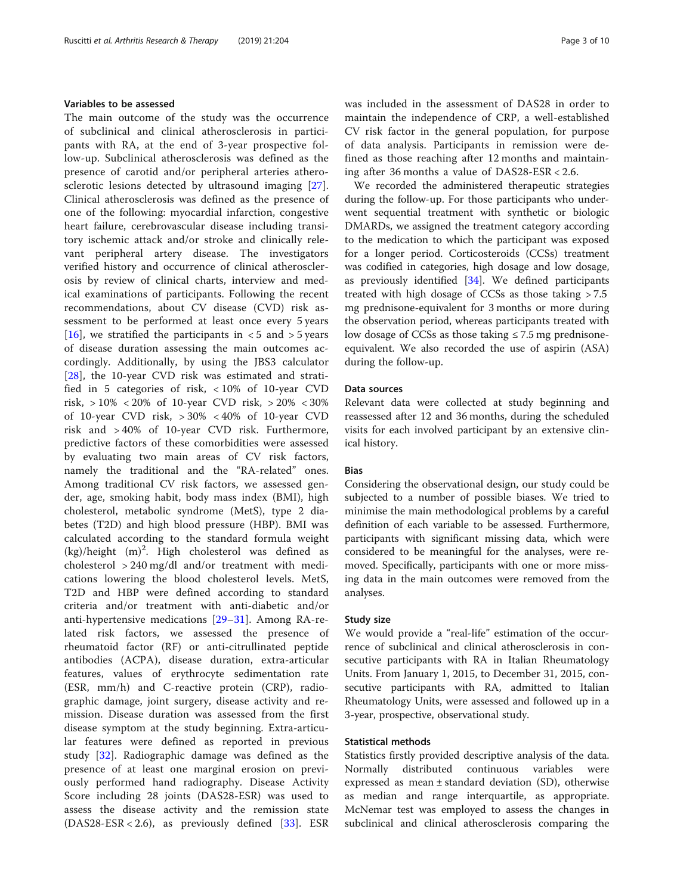# Variables to be assessed

The main outcome of the study was the occurrence of subclinical and clinical atherosclerosis in participants with RA, at the end of 3-year prospective follow-up. Subclinical atherosclerosis was defined as the presence of carotid and/or peripheral arteries atherosclerotic lesions detected by ultrasound imaging [\[27](#page-8-0)]. Clinical atherosclerosis was defined as the presence of one of the following: myocardial infarction, congestive heart failure, cerebrovascular disease including transitory ischemic attack and/or stroke and clinically relevant peripheral artery disease. The investigators verified history and occurrence of clinical atherosclerosis by review of clinical charts, interview and medical examinations of participants. Following the recent recommendations, about CV disease (CVD) risk assessment to be performed at least once every 5 years [[16\]](#page-8-0), we stratified the participants in  $\lt$  5 and  $>$  5 years of disease duration assessing the main outcomes accordingly. Additionally, by using the JBS3 calculator [[28\]](#page-8-0), the 10-year CVD risk was estimated and stratified in 5 categories of risk, < 10% of 10-year CVD risk, > 10% < 20% of 10-year CVD risk, > 20% < 30% of 10-year CVD risk, > 30% < 40% of 10-year CVD risk and > 40% of 10-year CVD risk. Furthermore, predictive factors of these comorbidities were assessed by evaluating two main areas of CV risk factors, namely the traditional and the "RA-related" ones. Among traditional CV risk factors, we assessed gender, age, smoking habit, body mass index (BMI), high cholesterol, metabolic syndrome (MetS), type 2 diabetes (T2D) and high blood pressure (HBP). BMI was calculated according to the standard formula weight  $(kg)/$ height  $(m)^2$ . High cholesterol was defined as cholesterol > 240 mg/dl and/or treatment with medications lowering the blood cholesterol levels. MetS, T2D and HBP were defined according to standard criteria and/or treatment with anti-diabetic and/or anti-hypertensive medications [[29](#page-8-0)–[31\]](#page-9-0). Among RA-related risk factors, we assessed the presence of rheumatoid factor (RF) or anti-citrullinated peptide antibodies (ACPA), disease duration, extra-articular features, values of erythrocyte sedimentation rate (ESR, mm/h) and C-reactive protein (CRP), radiographic damage, joint surgery, disease activity and remission. Disease duration was assessed from the first disease symptom at the study beginning. Extra-articular features were defined as reported in previous study [[32\]](#page-9-0). Radiographic damage was defined as the presence of at least one marginal erosion on previously performed hand radiography. Disease Activity Score including 28 joints (DAS28-ESR) was used to assess the disease activity and the remission state (DAS28-ESR < 2.6), as previously defined [[33\]](#page-9-0). ESR was included in the assessment of DAS28 in order to maintain the independence of CRP, a well-established CV risk factor in the general population, for purpose of data analysis. Participants in remission were defined as those reaching after 12 months and maintaining after 36 months a value of DAS28-ESR < 2.6.

We recorded the administered therapeutic strategies during the follow-up. For those participants who underwent sequential treatment with synthetic or biologic DMARDs, we assigned the treatment category according to the medication to which the participant was exposed for a longer period. Corticosteroids (CCSs) treatment was codified in categories, high dosage and low dosage, as previously identified  $[34]$  $[34]$  $[34]$ . We defined participants treated with high dosage of CCSs as those taking > 7.5 mg prednisone-equivalent for 3 months or more during the observation period, whereas participants treated with low dosage of CCSs as those taking  $\leq$  7.5 mg prednisoneequivalent. We also recorded the use of aspirin (ASA) during the follow-up.

# Data sources

Relevant data were collected at study beginning and reassessed after 12 and 36 months, during the scheduled visits for each involved participant by an extensive clinical history.

### Bias

Considering the observational design, our study could be subjected to a number of possible biases. We tried to minimise the main methodological problems by a careful definition of each variable to be assessed. Furthermore, participants with significant missing data, which were considered to be meaningful for the analyses, were removed. Specifically, participants with one or more missing data in the main outcomes were removed from the analyses.

### Study size

We would provide a "real-life" estimation of the occurrence of subclinical and clinical atherosclerosis in consecutive participants with RA in Italian Rheumatology Units. From January 1, 2015, to December 31, 2015, consecutive participants with RA, admitted to Italian Rheumatology Units, were assessed and followed up in a 3-year, prospective, observational study.

## Statistical methods

Statistics firstly provided descriptive analysis of the data. Normally distributed continuous variables were expressed as mean  $\pm$  standard deviation (SD), otherwise as median and range interquartile, as appropriate. McNemar test was employed to assess the changes in subclinical and clinical atherosclerosis comparing the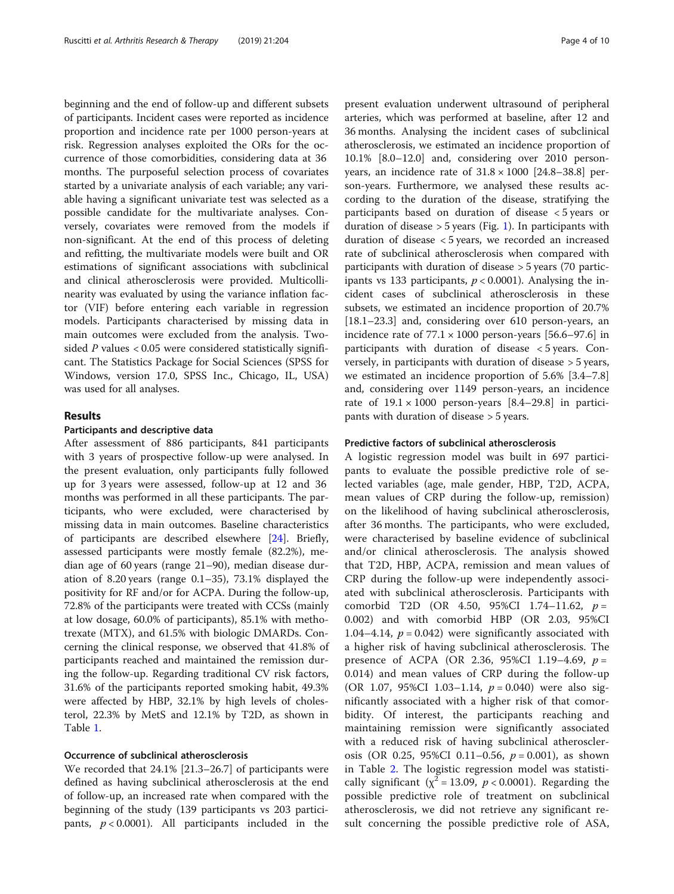beginning and the end of follow-up and different subsets of participants. Incident cases were reported as incidence proportion and incidence rate per 1000 person-years at risk. Regression analyses exploited the ORs for the occurrence of those comorbidities, considering data at 36 months. The purposeful selection process of covariates started by a univariate analysis of each variable; any variable having a significant univariate test was selected as a possible candidate for the multivariate analyses. Conversely, covariates were removed from the models if non-significant. At the end of this process of deleting and refitting, the multivariate models were built and OR estimations of significant associations with subclinical and clinical atherosclerosis were provided. Multicollinearity was evaluated by using the variance inflation factor (VIF) before entering each variable in regression models. Participants characterised by missing data in main outcomes were excluded from the analysis. Twosided P values < 0.05 were considered statistically significant. The Statistics Package for Social Sciences (SPSS for Windows, version 17.0, SPSS Inc., Chicago, IL, USA) was used for all analyses.

# Results

# Participants and descriptive data

After assessment of 886 participants, 841 participants with 3 years of prospective follow-up were analysed. In the present evaluation, only participants fully followed up for 3 years were assessed, follow-up at 12 and 36 months was performed in all these participants. The participants, who were excluded, were characterised by missing data in main outcomes. Baseline characteristics of participants are described elsewhere [\[24](#page-8-0)]. Briefly, assessed participants were mostly female (82.2%), median age of 60 years (range 21–90), median disease duration of 8.20 years (range 0.1–35), 73.1% displayed the positivity for RF and/or for ACPA. During the follow-up, 72.8% of the participants were treated with CCSs (mainly at low dosage, 60.0% of participants), 85.1% with methotrexate (MTX), and 61.5% with biologic DMARDs. Concerning the clinical response, we observed that 41.8% of participants reached and maintained the remission during the follow-up. Regarding traditional CV risk factors, 31.6% of the participants reported smoking habit, 49.3% were affected by HBP, 32.1% by high levels of cholesterol, 22.3% by MetS and 12.1% by T2D, as shown in Table [1.](#page-4-0)

## Occurrence of subclinical atherosclerosis

We recorded that 24.1% [21.3–26.7] of participants were defined as having subclinical atherosclerosis at the end of follow-up, an increased rate when compared with the beginning of the study (139 participants vs 203 participants,  $p < 0.0001$ ). All participants included in the present evaluation underwent ultrasound of peripheral arteries, which was performed at baseline, after 12 and 36 months. Analysing the incident cases of subclinical atherosclerosis, we estimated an incidence proportion of 10.1% [8.0–12.0] and, considering over 2010 personyears, an incidence rate of  $31.8 \times 1000$  [24.8–38.8] person-years. Furthermore, we analysed these results according to the duration of the disease, stratifying the participants based on duration of disease < 5 years or duration of disease  $>$  5 years (Fig. [1](#page-5-0)). In participants with duration of disease < 5 years, we recorded an increased rate of subclinical atherosclerosis when compared with participants with duration of disease > 5 years (70 participants vs 133 participants,  $p < 0.0001$ ). Analysing the incident cases of subclinical atherosclerosis in these subsets, we estimated an incidence proportion of 20.7% [18.1–23.3] and, considering over 610 person-years, an incidence rate of  $77.1 \times 1000$  person-years [56.6–97.6] in participants with duration of disease < 5 years. Conversely, in participants with duration of disease > 5 years, we estimated an incidence proportion of 5.6% [3.4–7.8] and, considering over 1149 person-years, an incidence rate of  $19.1 \times 1000$  person-years  $[8.4-29.8]$  in participants with duration of disease > 5 years.

### Predictive factors of subclinical atherosclerosis

A logistic regression model was built in 697 participants to evaluate the possible predictive role of selected variables (age, male gender, HBP, T2D, ACPA, mean values of CRP during the follow-up, remission) on the likelihood of having subclinical atherosclerosis, after 36 months. The participants, who were excluded, were characterised by baseline evidence of subclinical and/or clinical atherosclerosis. The analysis showed that T2D, HBP, ACPA, remission and mean values of CRP during the follow-up were independently associated with subclinical atherosclerosis. Participants with comorbid T2D (OR 4.50, 95%CI 1.74-11.62,  $p =$ 0.002) and with comorbid HBP (OR 2.03, 95%CI 1.04–4.14,  $p = 0.042$ ) were significantly associated with a higher risk of having subclinical atherosclerosis. The presence of ACPA (OR 2.36, 95%CI 1.19–4.69,  $p =$ 0.014) and mean values of CRP during the follow-up (OR 1.07, 95%CI 1.03–1.14,  $p = 0.040$ ) were also significantly associated with a higher risk of that comorbidity. Of interest, the participants reaching and maintaining remission were significantly associated with a reduced risk of having subclinical atherosclerosis (OR 0.25, 95%CI 0.11–0.56,  $p = 0.001$ ), as shown in Table [2.](#page-6-0) The logistic regression model was statistically significant ( $\chi^2$  = 13.09, *p* < 0.0001). Regarding the possible predictive role of treatment on subclinical atherosclerosis, we did not retrieve any significant result concerning the possible predictive role of ASA,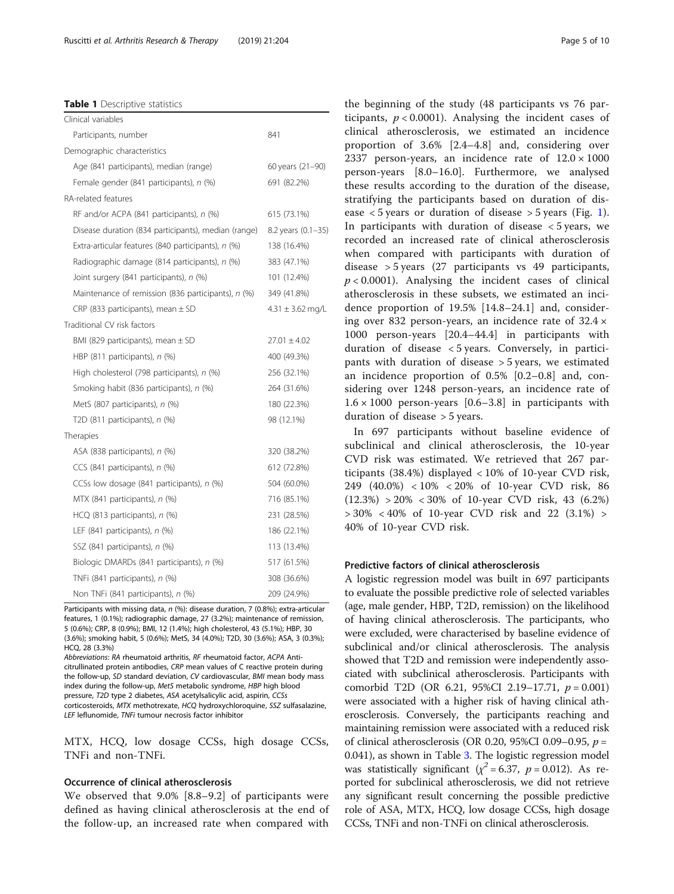### <span id="page-4-0"></span>Table 1 Descriptive statistics

| Clinical variables                                  |                      |
|-----------------------------------------------------|----------------------|
| Participants, number                                | 841                  |
| Demographic characteristics                         |                      |
| Age (841 participants), median (range)              | 60 years (21-90)     |
| Female gender (841 participants), n (%)             | 691 (82.2%)          |
| RA-related features                                 |                      |
| RF and/or ACPA (841 participants), n (%)            | 615 (73.1%)          |
| Disease duration (834 participants), median (range) | 8.2 years (0.1-35)   |
| Extra-articular features (840 participants), n (%)  | 138 (16.4%)          |
| Radiographic damage (814 participants), n (%)       | 383 (47.1%)          |
| Joint surgery (841 participants), n (%)             | 101 (12.4%)          |
| Maintenance of remission (836 participants), n (%)  | 349 (41.8%)          |
| CRP (833 participants), mean $\pm$ SD               | $4.31 \pm 3.62$ mg/L |
| Traditional CV risk factors                         |                      |
| BMI (829 participants), mean $\pm$ SD               | $27.01 \pm 4.02$     |
| HBP $(811$ participants), $n$ $(\%)$                | 400 (49.3%)          |
| High cholesterol (798 participants), n (%)          | 256 (32.1%)          |
| Smoking habit (836 participants), n (%)             | 264 (31.6%)          |
| MetS (807 participants), n (%)                      | 180 (22.3%)          |
| T2D (811 participants), n (%)                       | 98 (12.1%)           |
| Therapies                                           |                      |
| ASA (838 participants), n (%)                       | 320 (38.2%)          |
| CCS (841 participants), n (%)                       | 612 (72.8%)          |
| CCSs low dosage (841 participants), n (%)           | 504 (60.0%)          |
| MTX (841 participants), n (%)                       | 716 (85.1%)          |
| $HCQ$ (813 participants), $n$ (%)                   | 231 (28.5%)          |
| LEF (841 participants), n (%)                       | 186 (22.1%)          |
| SSZ (841 participants), n (%)                       | 113 (13.4%)          |
| Biologic DMARDs (841 participants), n (%)           | 517 (61.5%)          |
| TNFi (841 participants), n (%)                      | 308 (36.6%)          |
| Non TNFi (841 participants), n (%)                  | 209 (24.9%)          |

Participants with missing data, n (%): disease duration, 7 (0.8%); extra-articular features, 1 (0.1%); radiographic damage, 27 (3.2%); maintenance of remission, 5 (0.6%); CRP, 8 (0.9%); BMI, 12 (1.4%); high cholesterol, 43 (5.1%); HBP, 30 (3.6%); smoking habit, 5 (0.6%); MetS, 34 (4.0%); T2D, 30 (3.6%); ASA, 3 (0.3%); HCQ, 28 (3.3%)

Abbreviations: RA rheumatoid arthritis, RF rheumatoid factor, ACPA Anticitrullinated protein antibodies, CRP mean values of C reactive protein during the follow-up, SD standard deviation, CV cardiovascular, BMI mean body mass index during the follow-up, MetS metabolic syndrome, HBP high blood pressure, T2D type 2 diabetes, ASA acetylsalicylic acid, aspirin, CCSs corticosteroids, MTX methotrexate, HCQ hydroxychloroquine, SSZ sulfasalazine, LEF leflunomide, TNFi tumour necrosis factor inhibitor

MTX, HCQ, low dosage CCSs, high dosage CCSs, TNFi and non-TNFi.

### Occurrence of clinical atherosclerosis

We observed that 9.0% [8.8–9.2] of participants were defined as having clinical atherosclerosis at the end of the follow-up, an increased rate when compared with the beginning of the study (48 participants vs 76 participants,  $p < 0.0001$ ). Analysing the incident cases of clinical atherosclerosis, we estimated an incidence proportion of 3.6% [2.4–4.8] and, considering over 2337 person-years, an incidence rate of  $12.0 \times 1000$ person-years [8.0–16.0]. Furthermore, we analysed these results according to the duration of the disease, stratifying the participants based on duration of disease  $\lt$  5 years or duration of disease  $>$  5 years (Fig. [1](#page-5-0)). In participants with duration of disease  $\lt$  5 years, we recorded an increased rate of clinical atherosclerosis when compared with participants with duration of disease > 5 years (27 participants vs 49 participants,  $p < 0.0001$ ). Analysing the incident cases of clinical atherosclerosis in these subsets, we estimated an incidence proportion of 19.5% [14.8–24.1] and, considering over 832 person-years, an incidence rate of  $32.4 \times$ 1000 person-years [20.4–44.4] in participants with duration of disease < 5 years. Conversely, in participants with duration of disease > 5 years, we estimated an incidence proportion of 0.5% [0.2–0.8] and, considering over 1248 person-years, an incidence rate of  $1.6 \times 1000$  person-years [0.6–3.8] in participants with duration of disease > 5 years.

In 697 participants without baseline evidence of subclinical and clinical atherosclerosis, the 10-year CVD risk was estimated. We retrieved that 267 participants (38.4%) displayed < 10% of 10-year CVD risk, 249 (40.0%) < 10% < 20% of 10-year CVD risk, 86 (12.3%) > 20% < 30% of 10-year CVD risk, 43 (6.2%) > 30% < 40% of 10-year CVD risk and 22 (3.1%) > 40% of 10-year CVD risk.

### Predictive factors of clinical atherosclerosis

A logistic regression model was built in 697 participants to evaluate the possible predictive role of selected variables (age, male gender, HBP, T2D, remission) on the likelihood of having clinical atherosclerosis. The participants, who were excluded, were characterised by baseline evidence of subclinical and/or clinical atherosclerosis. The analysis showed that T2D and remission were independently associated with subclinical atherosclerosis. Participants with comorbid T2D (OR 6.21, 95%CI 2.19–17.71,  $p = 0.001$ ) were associated with a higher risk of having clinical atherosclerosis. Conversely, the participants reaching and maintaining remission were associated with a reduced risk of clinical atherosclerosis (OR 0.20, 95%CI 0.09–0.95,  $p =$ 0.041), as shown in Table [3.](#page-6-0) The logistic regression model was statistically significant ( $\chi^2$  = 6.37, p = 0.012). As reported for subclinical atherosclerosis, we did not retrieve any significant result concerning the possible predictive role of ASA, MTX, HCQ, low dosage CCSs, high dosage CCSs, TNFi and non-TNFi on clinical atherosclerosis.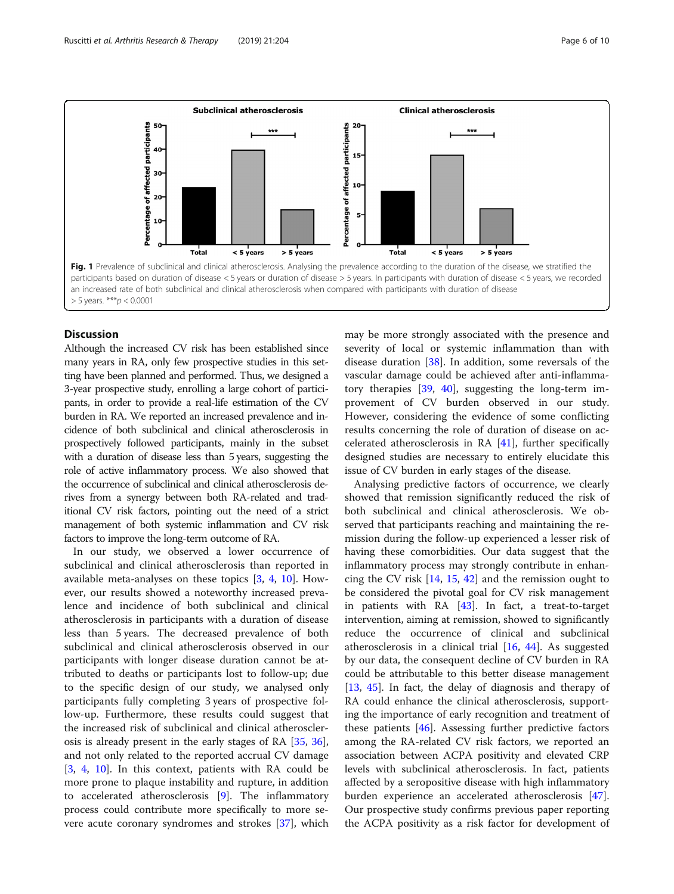<span id="page-5-0"></span>

# **Discussion**

Although the increased CV risk has been established since many years in RA, only few prospective studies in this setting have been planned and performed. Thus, we designed a 3-year prospective study, enrolling a large cohort of participants, in order to provide a real-life estimation of the CV burden in RA. We reported an increased prevalence and incidence of both subclinical and clinical atherosclerosis in prospectively followed participants, mainly in the subset with a duration of disease less than 5 years, suggesting the role of active inflammatory process. We also showed that the occurrence of subclinical and clinical atherosclerosis derives from a synergy between both RA-related and traditional CV risk factors, pointing out the need of a strict management of both systemic inflammation and CV risk factors to improve the long-term outcome of RA.

In our study, we observed a lower occurrence of subclinical and clinical atherosclerosis than reported in available meta-analyses on these topics [[3,](#page-8-0) [4](#page-8-0), [10](#page-8-0)]. However, our results showed a noteworthy increased prevalence and incidence of both subclinical and clinical atherosclerosis in participants with a duration of disease less than 5 years. The decreased prevalence of both subclinical and clinical atherosclerosis observed in our participants with longer disease duration cannot be attributed to deaths or participants lost to follow-up; due to the specific design of our study, we analysed only participants fully completing 3 years of prospective follow-up. Furthermore, these results could suggest that the increased risk of subclinical and clinical atherosclerosis is already present in the early stages of RA [\[35,](#page-9-0) [36](#page-9-0)], and not only related to the reported accrual CV damage [[3,](#page-8-0) [4,](#page-8-0) [10\]](#page-8-0). In this context, patients with RA could be more prone to plaque instability and rupture, in addition to accelerated atherosclerosis [[9\]](#page-8-0). The inflammatory process could contribute more specifically to more severe acute coronary syndromes and strokes [[37\]](#page-9-0), which may be more strongly associated with the presence and severity of local or systemic inflammation than with disease duration [[38\]](#page-9-0). In addition, some reversals of the vascular damage could be achieved after anti-inflammatory therapies [[39](#page-9-0), [40\]](#page-9-0), suggesting the long-term improvement of CV burden observed in our study. However, considering the evidence of some conflicting results concerning the role of duration of disease on accelerated atherosclerosis in RA [\[41](#page-9-0)], further specifically designed studies are necessary to entirely elucidate this issue of CV burden in early stages of the disease.

Analysing predictive factors of occurrence, we clearly showed that remission significantly reduced the risk of both subclinical and clinical atherosclerosis. We observed that participants reaching and maintaining the remission during the follow-up experienced a lesser risk of having these comorbidities. Our data suggest that the inflammatory process may strongly contribute in enhancing the CV risk [\[14](#page-8-0), [15](#page-8-0), [42\]](#page-9-0) and the remission ought to be considered the pivotal goal for CV risk management in patients with RA [\[43](#page-9-0)]. In fact, a treat-to-target intervention, aiming at remission, showed to significantly reduce the occurrence of clinical and subclinical atherosclerosis in a clinical trial  $[16, 44]$  $[16, 44]$  $[16, 44]$  $[16, 44]$  $[16, 44]$ . As suggested by our data, the consequent decline of CV burden in RA could be attributable to this better disease management [[13,](#page-8-0) [45](#page-9-0)]. In fact, the delay of diagnosis and therapy of RA could enhance the clinical atherosclerosis, supporting the importance of early recognition and treatment of these patients [\[46\]](#page-9-0). Assessing further predictive factors among the RA-related CV risk factors, we reported an association between ACPA positivity and elevated CRP levels with subclinical atherosclerosis. In fact, patients affected by a seropositive disease with high inflammatory burden experience an accelerated atherosclerosis [\[47](#page-9-0)]. Our prospective study confirms previous paper reporting the ACPA positivity as a risk factor for development of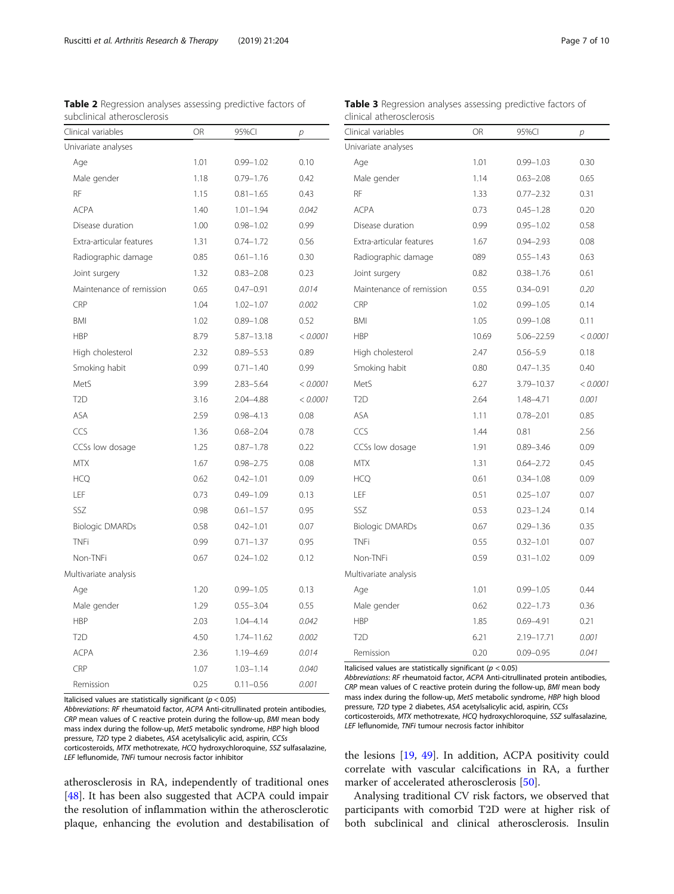<span id="page-6-0"></span>

| <b>Table 2</b> Regression analyses assessing predictive factors of |  |
|--------------------------------------------------------------------|--|
| subclinical atherosclerosis                                        |  |

| <b>Table 3</b> Regression analyses assessing predictive factors of |  |  |  |
|--------------------------------------------------------------------|--|--|--|
| clinical atherosclerosis                                           |  |  |  |

| Clinical variables       | OR   | 95%CI          | р        |
|--------------------------|------|----------------|----------|
| Univariate analyses      |      |                |          |
| Age                      | 1.01 | $0.99 - 1.02$  | 0.10     |
| Male gender              | 1.18 | $0.79 - 1.76$  | 0.42     |
| RF                       | 1.15 | $0.81 - 1.65$  | 0.43     |
| <b>ACPA</b>              | 1.40 | $1.01 - 1.94$  | 0.042    |
| Disease duration         | 1.00 | $0.98 - 1.02$  | 0.99     |
| Extra-articular features | 1.31 | $0.74 - 1.72$  | 0.56     |
| Radiographic damage      | 0.85 | $0.61 - 1.16$  | 0.30     |
| Joint surgery            | 1.32 | $0.83 - 2.08$  | 0.23     |
| Maintenance of remission | 0.65 | $0.47 - 0.91$  | 0.014    |
| CRP                      | 1.04 | $1.02 - 1.07$  | 0.002    |
| <b>BMI</b>               | 1.02 | $0.89 - 1.08$  | 0.52     |
| <b>HBP</b>               | 8.79 | $5.87 - 13.18$ | < 0.0001 |
| High cholesterol         | 2.32 | $0.89 - 5.53$  | 0.89     |
| Smoking habit            | 0.99 | $0.71 - 1.40$  | 0.99     |
| MetS                     | 3.99 | $2.83 - 5.64$  | < 0.0001 |
| T <sub>2</sub> D         | 3.16 | 2.04-4.88      | < 0.0001 |
| ASA                      | 2.59 | $0.98 - 4.13$  | 0.08     |
| CCS                      | 1.36 | $0.68 - 2.04$  | 0.78     |
| CCSs low dosage          | 1.25 | $0.87 - 1.78$  | 0.22     |
| <b>MTX</b>               | 1.67 | $0.98 - 2.75$  | 0.08     |
| <b>HCO</b>               | 0.62 | $0.42 - 1.01$  | 0.09     |
| LEF                      | 0.73 | $0.49 - 1.09$  | 0.13     |
| SSZ                      | 0.98 | $0.61 - 1.57$  | 0.95     |
| <b>Biologic DMARDs</b>   | 0.58 | $0.42 - 1.01$  | 0.07     |
| <b>TNFi</b>              | 0.99 | $0.71 - 1.37$  | 0.95     |
| Non-TNFi                 | 0.67 | $0.24 - 1.02$  | 0.12     |
| Multivariate analysis    |      |                |          |
| Age                      | 1.20 | $0.99 - 1.05$  | 0.13     |
| Male gender              | 1.29 | $0.55 - 3.04$  | 0.55     |
| <b>HBP</b>               | 2.03 | $1.04 - 4.14$  | 0.042    |
| T <sub>2</sub> D         | 4.50 | 1.74-11.62     | 0.002    |
| <b>ACPA</b>              | 2.36 | 1.19-4.69      | 0.014    |
| CRP                      | 1.07 | $1.03 - 1.14$  | 0.040    |
| Remission                | 0.25 | $0.11 - 0.56$  | 0.001    |

Italicised values are statistically significant ( $p < 0.05$ )

Abbreviations: RF rheumatoid factor, ACPA Anti-citrullinated protein antibodies, CRP mean values of C reactive protein during the follow-up, BMI mean body mass index during the follow-up, MetS metabolic syndrome, HBP high blood pressure, T2D type 2 diabetes, ASA acetylsalicylic acid, aspirin, CCSs corticosteroids, MTX methotrexate, HCQ hydroxychloroquine, SSZ sulfasalazine, LEF leflunomide, TNFi tumour necrosis factor inhibitor

atherosclerosis in RA, independently of traditional ones [[48\]](#page-9-0). It has been also suggested that ACPA could impair the resolution of inflammation within the atherosclerotic plaque, enhancing the evolution and destabilisation of

| Clinical variables       | OR    | 95%CI         | р        |
|--------------------------|-------|---------------|----------|
| Univariate analyses      |       |               |          |
| Age                      | 1.01  | $0.99 - 1.03$ | 0.30     |
| Male gender              | 1.14  | $0.63 - 2.08$ | 0.65     |
| RF                       | 1.33  | $0.77 - 2.32$ | 0.31     |
| <b>ACPA</b>              | 0.73  | $0.45 - 1.28$ | 0.20     |
| Disease duration         | 0.99  | $0.95 - 1.02$ | 0.58     |
| Extra-articular features | 1.67  | $0.94 - 2.93$ | 0.08     |
| Radiographic damage      | 089   | $0.55 - 1.43$ | 0.63     |
| Joint surgery            | 0.82  | $0.38 - 1.76$ | 0.61     |
| Maintenance of remission | 0.55  | $0.34 - 0.91$ | 0.20     |
| CRP                      | 1.02  | $0.99 - 1.05$ | 0.14     |
| <b>BMI</b>               | 1.05  | $0.99 - 1.08$ | 0.11     |
| <b>HBP</b>               | 10.69 | 5.06-22.59    | < 0.0001 |
| High cholesterol         | 2.47  | $0.56 - 5.9$  | 0.18     |
| Smoking habit            | 0.80  | $0.47 - 1.35$ | 0.40     |
| MetS                     | 6.27  | 3.79-10.37    | < 0.0001 |
| T <sub>2</sub> D         | 2.64  | 1.48-4.71     | 0.001    |
| ASA                      | 1.11  | $0.78 - 2.01$ | 0.85     |
| CCS                      | 1.44  | 0.81          | 2.56     |
| CCSs low dosage          | 1.91  | $0.89 - 3.46$ | 0.09     |
| <b>MTX</b>               | 1.31  | $0.64 - 2.72$ | 0.45     |
| <b>HCQ</b>               | 0.61  | $0.34 - 1.08$ | 0.09     |
| LEF                      | 0.51  | $0.25 - 1.07$ | 0.07     |
| SSZ                      | 0.53  | $0.23 - 1.24$ | 0.14     |
| <b>Biologic DMARDs</b>   | 0.67  | $0.29 - 1.36$ | 0.35     |
| <b>TNFi</b>              | 0.55  | $0.32 - 1.01$ | 0.07     |
| Non-TNFi                 | 0.59  | $0.31 - 1.02$ | 0.09     |
| Multivariate analysis    |       |               |          |
| Age                      | 1.01  | $0.99 - 1.05$ | 0.44     |
| Male gender              | 0.62  | $0.22 - 1.73$ | 0.36     |
| <b>HBP</b>               | 1.85  | $0.69 - 4.91$ | 0.21     |
| T <sub>2</sub> D         | 6.21  | 2.19-17.71    | 0.001    |
| Remission                | 0.20  | $0.09 - 0.95$ | 0.041    |

Italicised values are statistically significant ( $p < 0.05$ )

Abbreviations: RF rheumatoid factor, ACPA Anti-citrullinated protein antibodies, CRP mean values of C reactive protein during the follow-up, BMI mean body mass index during the follow-up, MetS metabolic syndrome, HBP high blood pressure, T2D type 2 diabetes, ASA acetylsalicylic acid, aspirin, CCSs corticosteroids, MTX methotrexate, HCQ hydroxychloroquine, SSZ sulfasalazine, LEF leflunomide, TNFi tumour necrosis factor inhibitor

the lesions [[19](#page-8-0), [49\]](#page-9-0). In addition, ACPA positivity could correlate with vascular calcifications in RA, a further marker of accelerated atherosclerosis [\[50](#page-9-0)].

Analysing traditional CV risk factors, we observed that participants with comorbid T2D were at higher risk of both subclinical and clinical atherosclerosis. Insulin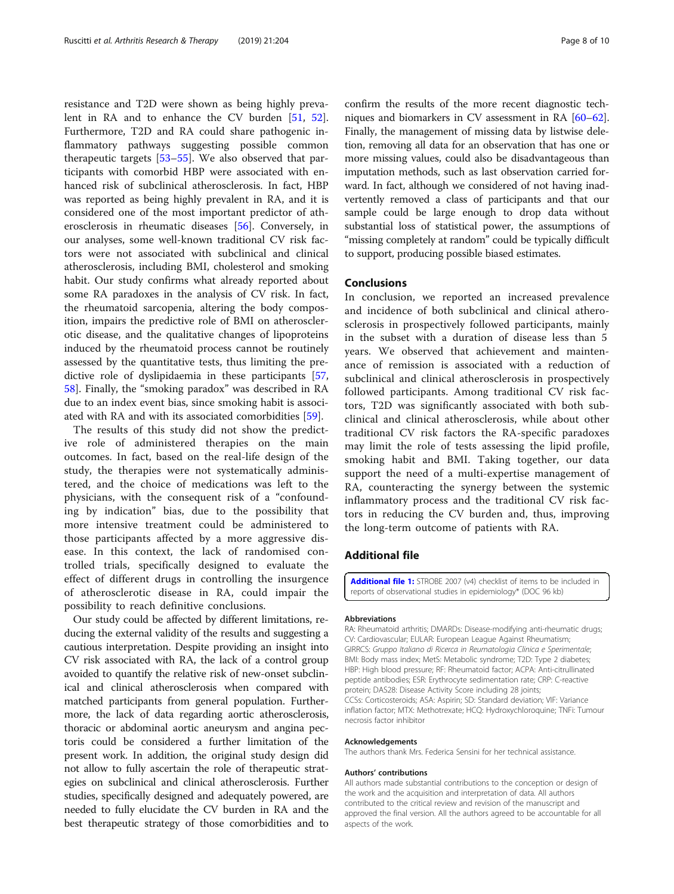<span id="page-7-0"></span>resistance and T2D were shown as being highly prevalent in RA and to enhance the CV burden [[51,](#page-9-0) [52](#page-9-0)]. Furthermore, T2D and RA could share pathogenic inflammatory pathways suggesting possible common therapeutic targets [[53](#page-9-0)–[55\]](#page-9-0). We also observed that participants with comorbid HBP were associated with enhanced risk of subclinical atherosclerosis. In fact, HBP was reported as being highly prevalent in RA, and it is considered one of the most important predictor of atherosclerosis in rheumatic diseases [[56\]](#page-9-0). Conversely, in our analyses, some well-known traditional CV risk factors were not associated with subclinical and clinical atherosclerosis, including BMI, cholesterol and smoking habit. Our study confirms what already reported about some RA paradoxes in the analysis of CV risk. In fact, the rheumatoid sarcopenia, altering the body composition, impairs the predictive role of BMI on atherosclerotic disease, and the qualitative changes of lipoproteins induced by the rheumatoid process cannot be routinely assessed by the quantitative tests, thus limiting the predictive role of dyslipidaemia in these participants [[57](#page-9-0), [58\]](#page-9-0). Finally, the "smoking paradox" was described in RA due to an index event bias, since smoking habit is associated with RA and with its associated comorbidities [[59\]](#page-9-0).

The results of this study did not show the predictive role of administered therapies on the main outcomes. In fact, based on the real-life design of the study, the therapies were not systematically administered, and the choice of medications was left to the physicians, with the consequent risk of a "confounding by indication" bias, due to the possibility that more intensive treatment could be administered to those participants affected by a more aggressive disease. In this context, the lack of randomised controlled trials, specifically designed to evaluate the effect of different drugs in controlling the insurgence of atherosclerotic disease in RA, could impair the possibility to reach definitive conclusions.

Our study could be affected by different limitations, reducing the external validity of the results and suggesting a cautious interpretation. Despite providing an insight into CV risk associated with RA, the lack of a control group avoided to quantify the relative risk of new-onset subclinical and clinical atherosclerosis when compared with matched participants from general population. Furthermore, the lack of data regarding aortic atherosclerosis, thoracic or abdominal aortic aneurysm and angina pectoris could be considered a further limitation of the present work. In addition, the original study design did not allow to fully ascertain the role of therapeutic strategies on subclinical and clinical atherosclerosis. Further studies, specifically designed and adequately powered, are needed to fully elucidate the CV burden in RA and the best therapeutic strategy of those comorbidities and to confirm the results of the more recent diagnostic techniques and biomarkers in CV assessment in RA [\[60](#page-9-0)–[62](#page-9-0)]. Finally, the management of missing data by listwise deletion, removing all data for an observation that has one or more missing values, could also be disadvantageous than imputation methods, such as last observation carried forward. In fact, although we considered of not having inadvertently removed a class of participants and that our sample could be large enough to drop data without substantial loss of statistical power, the assumptions of "missing completely at random" could be typically difficult to support, producing possible biased estimates.

# Conclusions

In conclusion, we reported an increased prevalence and incidence of both subclinical and clinical atherosclerosis in prospectively followed participants, mainly in the subset with a duration of disease less than 5 years. We observed that achievement and maintenance of remission is associated with a reduction of subclinical and clinical atherosclerosis in prospectively followed participants. Among traditional CV risk factors, T2D was significantly associated with both subclinical and clinical atherosclerosis, while about other traditional CV risk factors the RA-specific paradoxes may limit the role of tests assessing the lipid profile, smoking habit and BMI. Taking together, our data support the need of a multi-expertise management of RA, counteracting the synergy between the systemic inflammatory process and the traditional CV risk factors in reducing the CV burden and, thus, improving the long-term outcome of patients with RA.

# Additional file

**[Additional file 1:](https://doi.org/10.1186/s13075-019-1975-y)** STROBE 2007 (v4) checklist of items to be included in reports of observational studies in epidemiology\* (DOC 96 kb)

#### Abbreviations

RA: Rheumatoid arthritis; DMARDs: Disease-modifying anti-rheumatic drugs; CV: Cardiovascular; EULAR: European League Against Rheumatism; GIRRCS: Gruppo Italiano di Ricerca in Reumatologia Clinica e Sperimentale; BMI: Body mass index; MetS: Metabolic syndrome; T2D: Type 2 diabetes; HBP: High blood pressure; RF: Rheumatoid factor; ACPA: Anti-citrullinated peptide antibodies; ESR: Erythrocyte sedimentation rate; CRP: C-reactive protein; DAS28: Disease Activity Score including 28 joints; CCSs: Corticosteroids; ASA: Aspirin; SD: Standard deviation; VIF: Variance inflation factor; MTX: Methotrexate; HCQ: Hydroxychloroquine; TNFi: Tumour necrosis factor inhibitor

### Acknowledgements

The authors thank Mrs. Federica Sensini for her technical assistance.

#### Authors' contributions

All authors made substantial contributions to the conception or design of the work and the acquisition and interpretation of data. All authors contributed to the critical review and revision of the manuscript and approved the final version. All the authors agreed to be accountable for all aspects of the work.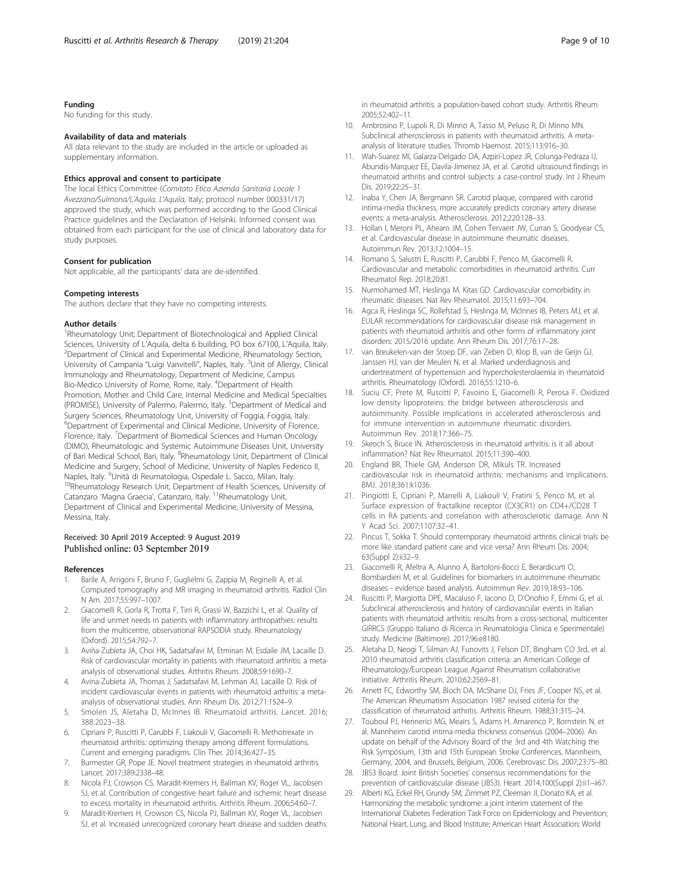# <span id="page-8-0"></span>Funding

No funding for this study.

### Availability of data and materials

All data relevant to the study are included in the article or uploaded as supplementary information.

### Ethics approval and consent to participate

The local Ethics Committee (Comitato Etico Azienda Sanitaria Locale 1 Avezzano/Sulmona/L'Aquila, L'Aquila, Italy; protocol number 000331/17) approved the study, which was performed according to the Good Clinical Practice guidelines and the Declaration of Helsinki. Informed consent was obtained from each participant for the use of clinical and laboratory data for study purposes.

#### Consent for publication

Not applicable, all the participants' data are de-identified.

#### Competing interests

The authors declare that they have no competing interests.

#### Author details

<sup>1</sup>Rheumatology Unit; Department of Biotechnological and Applied Clinical Sciences, University of L'Aquila, delta 6 building, PO box 67100, L'Aquila, Italy. <sup>2</sup> <sup>2</sup>Department of Clinical and Experimental Medicine, Rheumatology Section, University of Campania "Luigi Vanvitelli", Naples, Italy. <sup>3</sup>Unit of Allergy, Clinical Immunology and Rheumatology, Department of Medicine, Campus Bio-Medico University of Rome, Rome, Italy. <sup>4</sup>Department of Health Promotion, Mother and Child Care, Internal Medicine and Medical Specialties (PROMISE), University of Palermo, Palermo, Italy. <sup>5</sup>Department of Medical and Surgery Sciences, Rheumatology Unit, University of Foggia, Foggia, Italy. 6 Department of Experimental and Clinical Medicine, University of Florence, Florence, Italy. <sup>7</sup>Department of Biomedical Sciences and Human Oncology (DIMO), Rheumatologic and Systemic Autoimmune Diseases Unit, University of Bari Medical School, Bari, Italy. <sup>8</sup>Rheumatology Unit, Department of Clinical Medicine and Surgery, School of Medicine, University of Naples Federico II, Naples, Italy. <sup>9</sup>Unità di Reumatologia, Ospedale L. Sacco, Milan, Italy.  $10R$ heumatology Research Unit, Department of Health Sciences, University of Catanzaro 'Magna Graecia', Catanzaro, Italy. <sup>11</sup>Rheumatology Unit, Department of Clinical and Experimental Medicine, University of Messina, Messina, Italy.

### Received: 30 April 2019 Accepted: 9 August 2019 Published online: 03 September 2019

### References

- 1. Barile A, Arrigoni F, Bruno F, Guglielmi G, Zappia M, Reginelli A, et al. Computed tomography and MR imaging in rheumatoid arthritis. Radiol Clin N Am. 2017;55:997–1007.
- 2. Giacomelli R, Gorla R, Trotta F, Tirri R, Grassi W, Bazzichi L, et al. Quality of life and unmet needs in patients with inflammatory arthropathies: results from the multicentre, observational RAPSODIA study. Rheumatology (Oxford). 2015;54:792–7.
- 3. Aviña-Zubieta JA, Choi HK, Sadatsafavi M, Etminan M, Esdaile JM, Lacaille D. Risk of cardiovascular mortality in patients with rheumatoid arthritis: a metaanalysis of observational studies. Arthritis Rheum. 2008;59:1690–7.
- 4. Avina-Zubieta JA, Thomas J, Sadatsafavi M, Lehman AJ, Lacaille D. Risk of incident cardiovascular events in patients with rheumatoid arthritis: a metaanalysis of observational studies. Ann Rheum Dis. 2012;71:1524–9.
- 5. Smolen JS, Aletaha D, McInnes IB. Rheumatoid arthritis. Lancet. 2016; 388:2023–38.
- 6. Cipriani P, Ruscitti P, Carubbi F, Liakouli V, Giacomelli R. Methotrexate in rheumatoid arthritis: optimizing therapy among different formulations. Current and emerging paradigms. Clin Ther. 2014;36:427–35.
- 7. Burmester GR, Pope JE. Novel treatment strategies in rheumatoid arthritis. Lancet. 2017;389:2338–48.
- 8. Nicola PJ, Crowson CS, Maradit-Kremers H, Ballman KV, Roger VL, Jacobsen SJ, et al. Contribution of congestive heart failure and ischemic heart disease to excess mortality in rheumatoid arthritis. Arthritis Rheum. 2006;54:60–7.
- 9. Maradit-Kremers H, Crowson CS, Nicola PJ, Ballman KV, Roger VL, Jacobsen SJ, et al. Increased unrecognized coronary heart disease and sudden deaths

in rheumatoid arthritis: a population-based cohort study. Arthritis Rheum. 2005;52:402–11.

- 10. Ambrosino P, Lupoli R, Di Minno A, Tasso M, Peluso R, Di Minno MN. Subclinical atherosclerosis in patients with rheumatoid arthritis. A metaanalysis of literature studies. Thromb Haemost. 2015;113:916–30.
- 11. Wah-Suarez MI, Galarza-Delgado DA, Azpiri-Lopez JR, Colunga-Pedraza IJ, Abundis-Marquez EE, Davila-Jimenez JA, et al. Carotid ultrasound findings in rheumatoid arthritis and control subjects: a case-control study. Int J Rheum Dis. 2019;22:25–31.
- 12. Inaba Y, Chen JA, Bergmann SR. Carotid plaque, compared with carotid intima-media thickness, more accurately predicts coronary artery disease events: a meta-analysis. Atherosclerosis. 2012;220:128–33.
- 13. Hollan I, Meroni PL, Ahearn JM, Cohen Tervaert JW, Curran S, Goodyear CS, et al. Cardiovascular disease in autoimmune rheumatic diseases. Autoimmun Rev. 2013;12:1004–15.
- 14. Romano S, Salustri E, Ruscitti P, Carubbi F, Penco M, Giacomelli R. Cardiovascular and metabolic comorbidities in rheumatoid arthritis. Curr Rheumatol Rep. 2018;20:81.
- 15. Nurmohamed MT, Heslinga M, Kitas GD. Cardiovascular comorbidity in rheumatic diseases. Nat Rev Rheumatol. 2015;11:693–704.
- 16. Agca R, Heslinga SC, Rollefstad S, Heslinga M, McInnes IB, Peters MJ, et al. EULAR recommendations for cardiovascular disease risk management in patients with rheumatoid arthritis and other forms of inflammatory joint disorders: 2015/2016 update. Ann Rheum Dis. 2017;76:17–28.
- 17. van Breukelen-van der Stoep DF, van Zeben D, Klop B, van de Geijn GJ, Janssen HJ, van der Meulen N, et al. Marked underdiagnosis and undertreatment of hypertension and hypercholesterolaemia in rheumatoid arthritis. Rheumatology (Oxford). 2016;55:1210–6.
- 18. Suciu CF, Prete M, Ruscitti P, Favoino E, Giacomelli R, Perosa F. Oxidized low density lipoproteins: the bridge between atherosclerosis and autoimmunity. Possible implications in accelerated atherosclerosis and for immune intervention in autoimmune rheumatic disorders. Autoimmun Rev. 2018;17:366–75.
- 19. Skeoch S, Bruce IN. Atherosclerosis in rheumatoid arthritis: is it all about inflammation? Nat Rev Rheumatol. 2015;11:390–400.
- 20. England BR, Thiele GM, Anderson DR, Mikuls TR. Increased cardiovascular risk in rheumatoid arthritis: mechanisms and implications. BMJ. 2018;361:k1036.
- 21. Pingiotti E, Cipriani P, Marrelli A, Liakouli V, Fratini S, Penco M, et al. Surface expression of fractalkine receptor (CX3CR1) on CD4+/CD28 T cells in RA patients and correlation with atherosclerotic damage. Ann N Y Acad Sci. 2007;1107:32–41.
- 22. Pincus T, Sokka T. Should contemporary rheumatoid arthritis clinical trials be more like standard patient care and vice versa? Ann Rheum Dis. 2004; 63(Suppl 2):ii32–9.
- 23. Giacomelli R, Afeltra A, Alunno A, Bartoloni-Bocci E, Berardicurti O, Bombardieri M, et al. Guidelines for biomarkers in autoimmune rheumatic diseases - evidence based analysis. Autoimmun Rev. 2019;18:93–106.
- 24. Ruscitti P, Margiotta DPE, Macaluso F, Iacono D, D'Onofrio F, Emmi G, et al. Subclinical atherosclerosis and history of cardiovascular events in Italian patients with rheumatoid arthritis: results from a cross-sectional, multicenter GIRRCS (Gruppo Italiano di Ricerca in Reumatologia Clinica e Sperimentale) study. Medicine (Baltimore). 2017;96:e8180.
- 25. Aletaha D, Neogi T, Silman AJ, Funovits J, Felson DT, Bingham CO 3rd, et al. 2010 rheumatoid arthritis classification criteria: an American College of Rheumatology/European League Against Rheumatism collaborative initiative. Arthritis Rheum. 2010;62:2569–81.
- 26. Arnett FC, Edworthy SM, Bloch DA, McShane DJ, Fries JF, Cooper NS, et al. The American Rheumatism Association 1987 revised criteria for the classification of rheumatoid arthritis. Arthritis Rheum. 1988;31:315–24.
- 27. Touboul PJ, Hennerici MG, Meairs S, Adams H, Amarenco P, Bornstein N, et al. Mannheim carotid intima-media thickness consensus (2004–2006). An update on behalf of the Advisory Board of the 3rd and 4th Watching the Risk Symposium, 13th and 15th European Stroke Conferences, Mannheim, Germany, 2004, and Brussels, Belgium, 2006. Cerebrovasc Dis. 2007;23:75–80.
- 28. JBS3 Board. Joint British Societies' consensus recommendations for the prevention of cardiovascular disease (JBS3). Heart. 2014;100(Suppl 2):ii1-ii67.
- 29. Alberti KG, Eckel RH, Grundy SM, Zimmet PZ, Cleeman JI, Donato KA, et al. Harmonizing the metabolic syndrome: a joint interim statement of the International Diabetes Federation Task Force on Epidemiology and Prevention; National Heart, Lung, and Blood Institute; American Heart Association; World